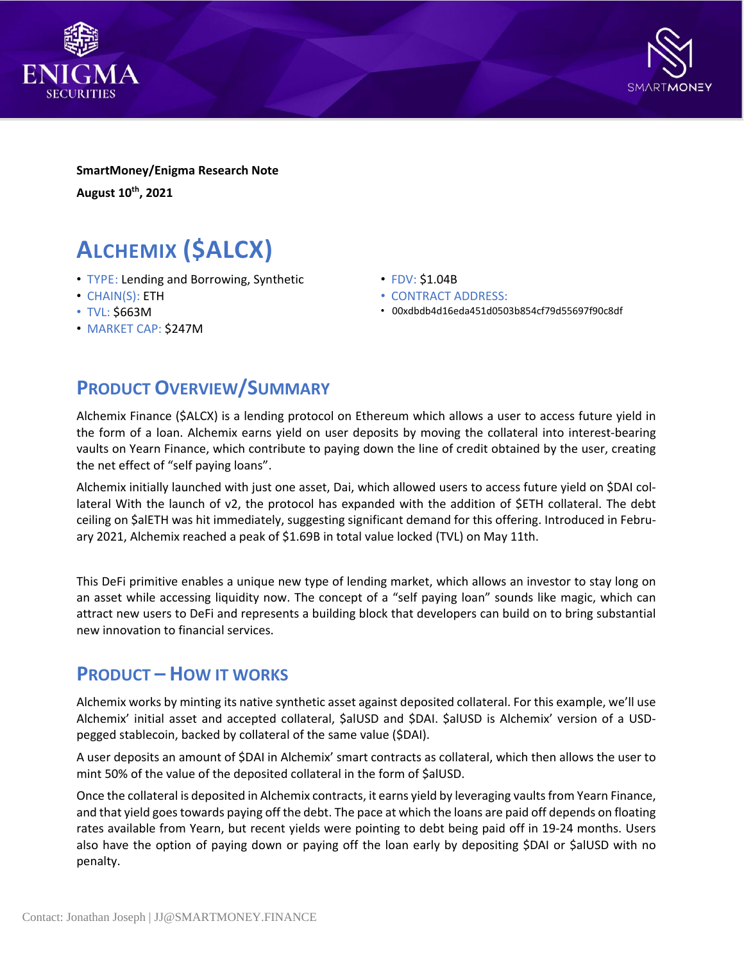



**SmartMoney/Enigma Research Note August 10th , 2021**

# **ALCHEMIX (\$ALCX)**

- TYPE: Lending and Borrowing, Synthetic
- CHAIN(S): ETH
- TVL: \$663M
- MARKET CAP: \$247M
- FDV: \$1.04B
- CONTRACT ADDRESS:
- 00xdbdb4d16eda451d0503b854cf79d55697f90c8df

### **PRODUCT OVERVIEW/SUMMARY**

Alchemix Finance (\$ALCX) is a lending protocol on Ethereum which allows a user to access future yield in the form of a loan. Alchemix earns yield on user deposits by moving the collateral into interest-bearing vaults on Yearn Finance, which contribute to paying down the line of credit obtained by the user, creating the net effect of "self paying loans".

Alchemix initially launched with just one asset, Dai, which allowed users to access future yield on \$DAI collateral With the launch of v2, the protocol has expanded with the addition of \$ETH collateral. The debt ceiling on \$alETH was hit immediately, suggesting significant demand for this offering. Introduced in February 2021, Alchemix reached a peak of \$1.69B in total value locked (TVL) on May 11th.

This DeFi primitive enables a unique new type of lending market, which allows an investor to stay long on an asset while accessing liquidity now. The concept of a "self paying loan" sounds like magic, which can attract new users to DeFi and represents a building block that developers can build on to bring substantial new innovation to financial services.

### **PRODUCT – HOW IT WORKS**

Alchemix works by minting its native synthetic asset against deposited collateral. For this example, we'll use Alchemix' initial asset and accepted collateral, \$alUSD and \$DAI. \$alUSD is Alchemix' version of a USDpegged stablecoin, backed by collateral of the same value (\$DAI).

A user deposits an amount of \$DAI in Alchemix' smart contracts as collateral, which then allows the user to mint 50% of the value of the deposited collateral in the form of \$alUSD.

Once the collateral is deposited in Alchemix contracts, it earns yield by leveraging vaults from Yearn Finance, and that yield goes towards paying off the debt. The pace at which the loans are paid off depends on floating rates available from Yearn, but recent yields were pointing to debt being paid off in 19-24 months. Users also have the option of paying down or paying off the loan early by depositing \$DAI or \$alUSD with no penalty.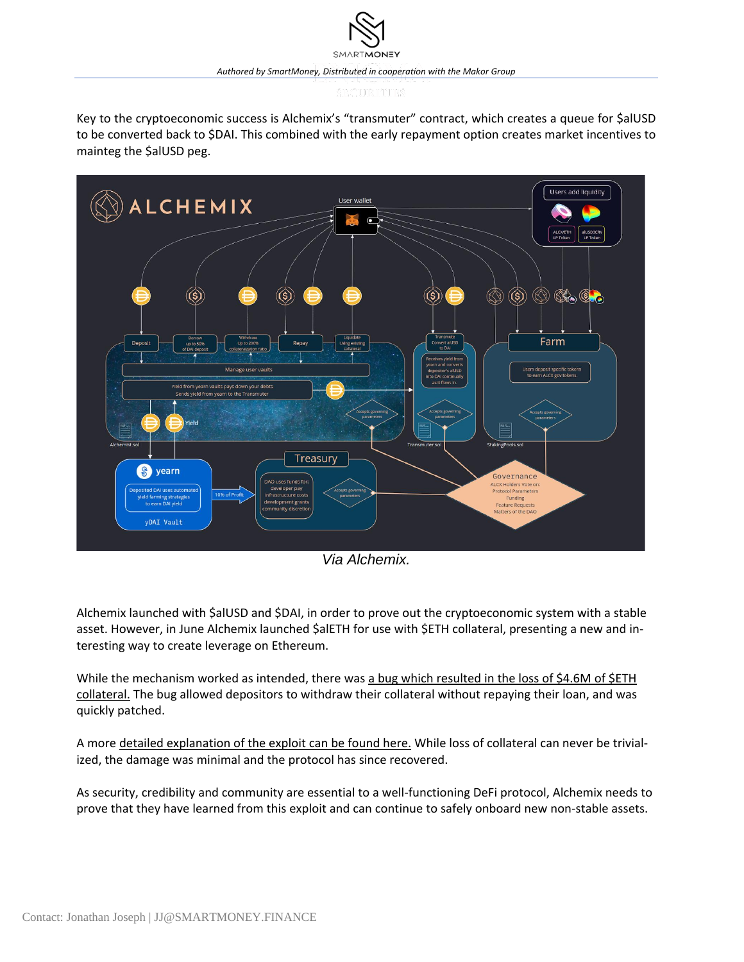Key to the cryptoeconomic success is Alchemix's "transmuter" contract, which creates a queue for \$alUSD to be converted back to \$DAI. This combined with the early repayment option creates market incentives to mainteg the \$alUSD peg.



*Via Alchemix.*

Alchemix launched with \$alUSD and \$DAI, in order to prove out the cryptoeconomic system with a stable asset. However, in June Alchemix launched \$alETH for use with \$ETH collateral, presenting a new and interesting way to create leverage on Ethereum.

While the mechanism worked as intended, there was a bug which [resulted](https://www.coindesk.com/free-money-bug-hits-defi-platform-alchemix) in the loss of \$4.6M of \$ETH [collateral.](https://www.coindesk.com/free-money-bug-hits-defi-platform-alchemix) The bug allowed depositors to withdraw their collateral without repaying their loan, and was quickly patched.

A more detailed [explanation](https://slowmist.medium.com/slowmist-alchemix-hack-analysis-e8c9ec6c2ee3) of the exploit can be found here. While loss of collateral can never be trivialized, the damage was minimal and the protocol has since recovered.

As security, credibility and community are essential to a well-functioning DeFi protocol, Alchemix needs to prove that they have learned from this exploit and can continue to safely onboard new non-stable assets.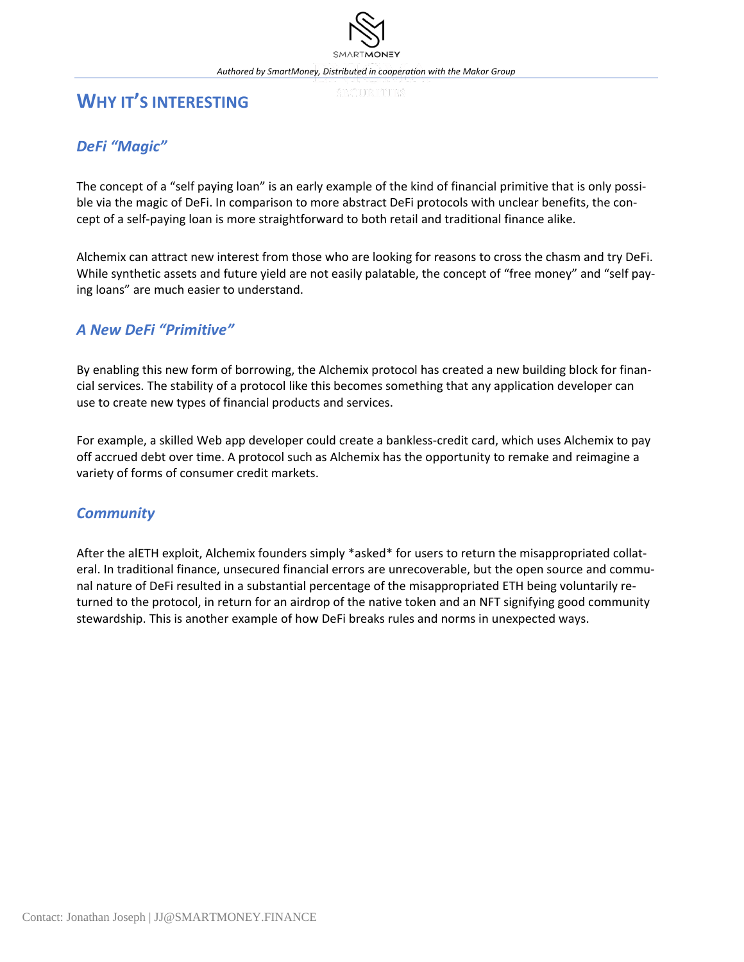### **WHY IT'S INTERESTING**

### *DeFi "Magic"*

The concept of a "self paying loan" is an early example of the kind of financial primitive that is only possible via the magic of DeFi. In comparison to more abstract DeFi protocols with unclear benefits, the concept of a self-paying loan is more straightforward to both retail and traditional finance alike.

Alchemix can attract new interest from those who are looking for reasons to cross the chasm and try DeFi. While synthetic assets and future yield are not easily palatable, the concept of "free money" and "self paying loans" are much easier to understand.

### *A New DeFi "Primitive"*

By enabling this new form of borrowing, the Alchemix protocol has created a new building block for financial services. The stability of a protocol like this becomes something that any application developer can use to create new types of financial products and services.

For example, a skilled Web app developer could create a bankless-credit card, which uses Alchemix to pay off accrued debt over time. A protocol such as Alchemix has the opportunity to remake and reimagine a variety of forms of consumer credit markets.

### *Community*

After the alETH exploit, Alchemix founders simply \*asked\* for users to return the misappropriated collateral. In traditional finance, unsecured financial errors are unrecoverable, but the open source and communal nature of DeFi resulted in a substantial percentage of the misappropriated ETH being voluntarily returned to the protocol, in return for an airdrop of the native token and an NFT signifying good community stewardship. This is another example of how DeFi breaks rules and norms in unexpected ways.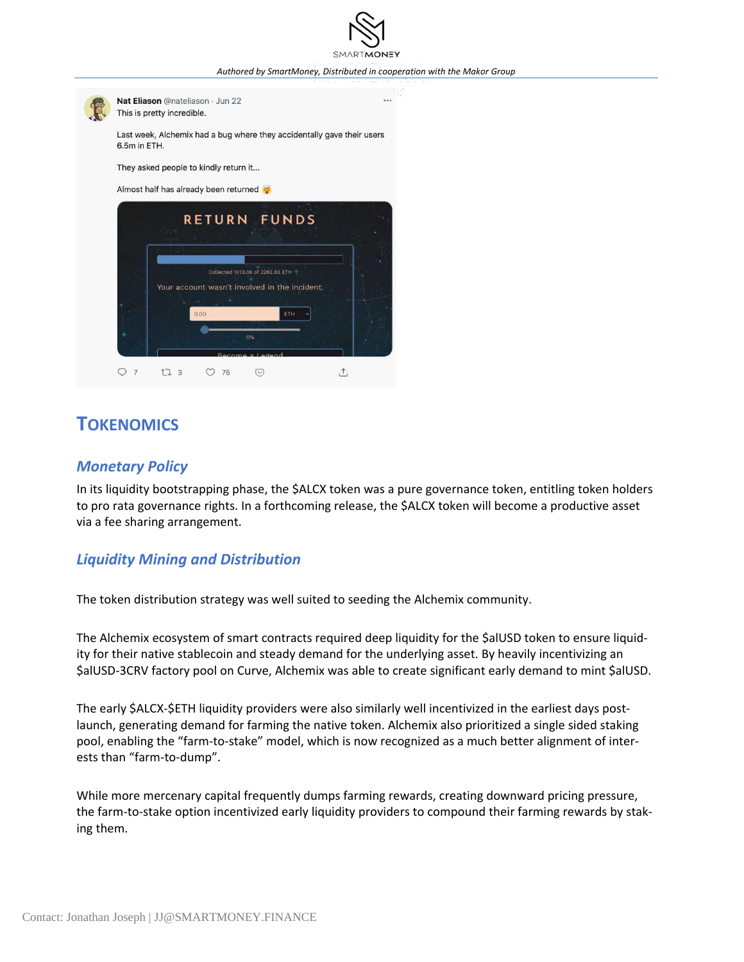*Authored by SmartMoney, Distributed in cooperation with the Makor Group*

...



This is pretty incredible.

Last week, Alchemix had a bug where they accidentally gave their users

They asked people to kindly return it...

Almost half has already been returned



### **TOKENOMICS**

#### *Monetary Policy*

In its liquidity bootstrapping phase, the \$ALCX token was a pure governance token, entitling token holders to pro rata governance rights. In a forthcoming release, the \$ALCX token will become a productive asset via a fee sharing arrangement.

#### *Liquidity Mining and Distribution*

The token distribution strategy was well suited to seeding the Alchemix community.

The Alchemix ecosystem of smart contracts required deep liquidity for the \$alUSD token to ensure liquidity for their native stablecoin and steady demand for the underlying asset. By heavily incentivizing an \$alUSD-3CRV factory pool on Curve, Alchemix was able to create significant early demand to mint \$alUSD.

The early \$ALCX-\$ETH liquidity providers were also similarly well incentivized in the earliest days postlaunch, generating demand for farming the native token. Alchemix also prioritized a single sided staking pool, enabling the "farm-to-stake" model, which is now recognized as a much better alignment of interests than "farm-to-dump".

While more mercenary capital frequently dumps farming rewards, creating downward pricing pressure, the farm-to-stake option incentivized early liquidity providers to compound their farming rewards by staking them.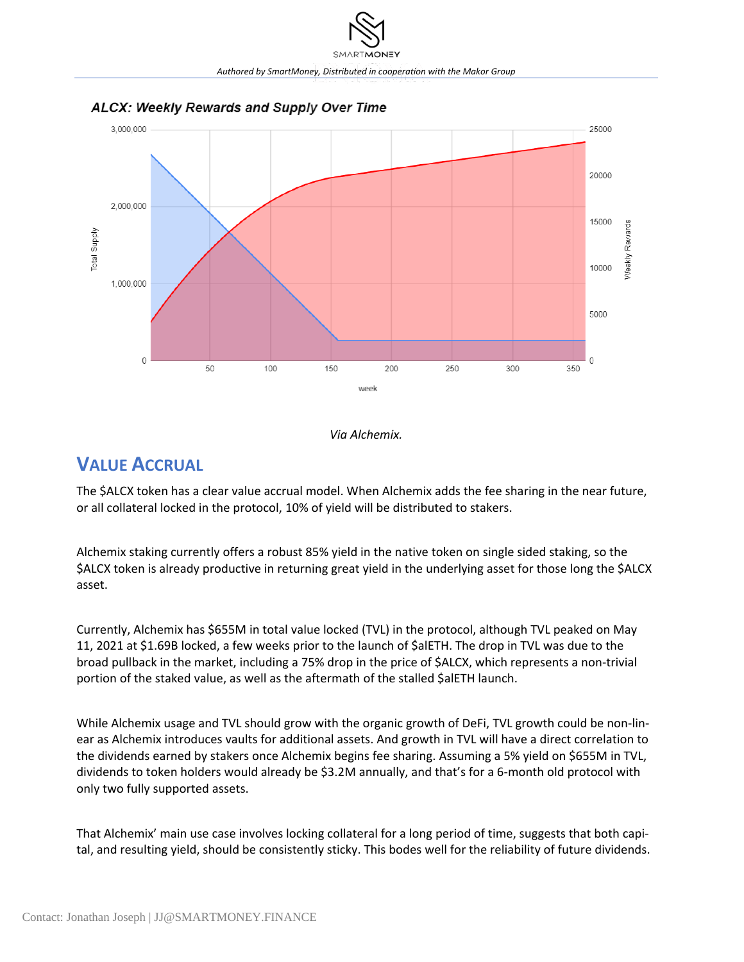

#### ALCX: Weekly Rewards and Supply Over Time

*Via Alchemix.*

## **VALUE ACCRUAL**

The \$ALCX token has a clear value accrual model. When Alchemix adds the fee sharing in the near future, or all collateral locked in the protocol, 10% of yield will be distributed to stakers.

Alchemix staking currently offers a robust 85% yield in the native token on single sided staking, so the \$ALCX token is already productive in returning great yield in the underlying asset for those long the \$ALCX asset.

Currently, Alchemix has \$655M in total value locked (TVL) in the protocol, although TVL peaked on May 11, 2021 at \$1.69B locked, a few weeks prior to the launch of \$alETH. The drop in TVL was due to the broad pullback in the market, including a 75% drop in the price of \$ALCX, which represents a non-trivial portion of the staked value, as well as the aftermath of the stalled \$alETH launch.

While Alchemix usage and TVL should grow with the organic growth of DeFi, TVL growth could be non-linear as Alchemix introduces vaults for additional assets. And growth in TVL will have a direct correlation to the dividends earned by stakers once Alchemix begins fee sharing. Assuming a 5% yield on \$655M in TVL, dividends to token holders would already be \$3.2M annually, and that's for a 6-month old protocol with only two fully supported assets.

That Alchemix' main use case involves locking collateral for a long period of time, suggests that both capital, and resulting yield, should be consistently sticky. This bodes well for the reliability of future dividends.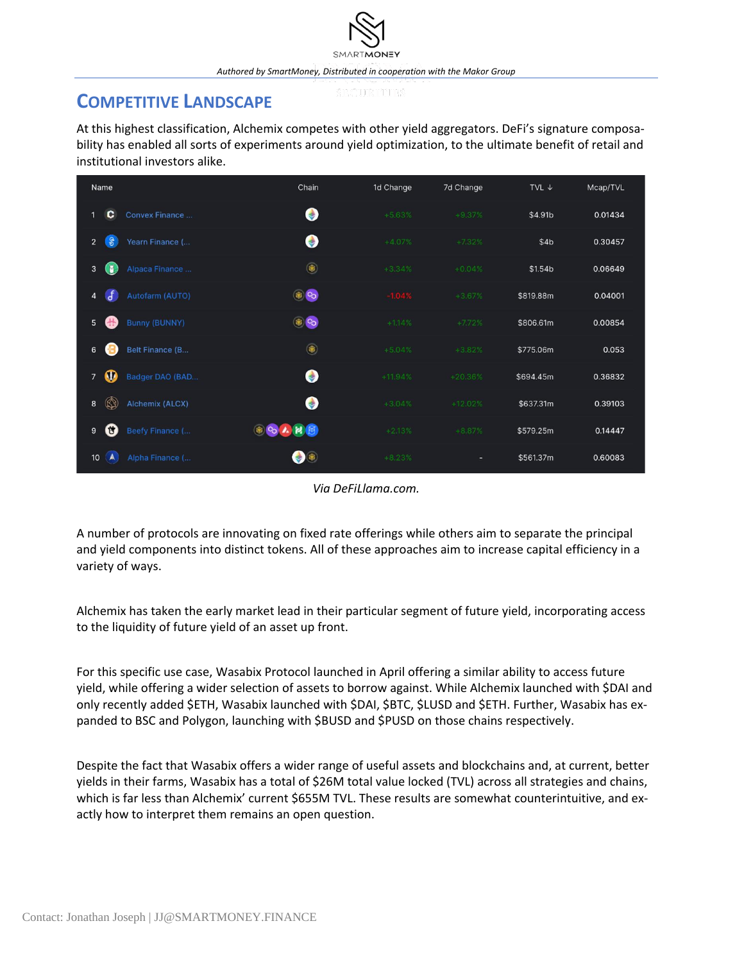### **COMPETITIVE LANDSCAPE**

At this highest classification, Alchemix competes with other yield aggregators. DeFi's signature composability has enabled all sorts of experiments around yield optimization, to the ultimate benefit of retail and institutional investors alike.

| Name                                            | Chain         | 1d Change | 7d Change | TVL $\downarrow$ | Mcap/TVL |
|-------------------------------------------------|---------------|-----------|-----------|------------------|----------|
| c<br>Convex Finance                             | $\bullet$     | $+5.63%$  | $+9.37%$  | \$4.91b          | 0.01434  |
| $\theta$<br>Yearn Finance (<br>$\overline{2}$   | $\bullet$     | $+4.07%$  | $+7.32%$  | \$4b             | 0.30457  |
| Œ<br>Alpaca Finance<br>3                        | $\circledast$ | $+3.34%$  | $+0.04%$  | \$1.54b          | 0.06649  |
| $\mathbf{f}$<br>Autofarm (AUTO)<br>4            | $\circledast$ | $-1.04%$  | $+3.67%$  | \$819.88m        | 0.04001  |
| <b>Bunny (BUNNY)</b><br>$5\phantom{.0}$<br>带    | $\circledast$ | $+1.14%$  | $+7.72%$  | \$806.61m        | 0.00854  |
| Belt Finance (B<br>6                            | $\circledast$ | $+5.04%$  | $+3.82%$  | \$775.06m        | 0.053    |
| $\bf{0}$<br>Badger DAO (BAD<br>$\overline{7}$   | $\bullet$     | $+11.94%$ | $+20.36%$ | \$694.45m        | 0.36832  |
| $\circledR$<br><b>Alchemix (ALCX)</b><br>8      | $\bullet$     | $+3.04%$  | $+12.02%$ | \$637.31m        | 0.39103  |
| Ű<br>Beefy Finance (<br>9                       | OCARB         | $+2.13%$  | $+8.87%$  | \$579.25m        | 0.14447  |
| $\Lambda$<br>Alpha Finance (<br>10 <sup>°</sup> | $\bigcirc$    | $+8.23%$  | ۰         | \$561.37m        | 0.60083  |

*Via DeFiLlama.com.*

A number of protocols are innovating on fixed rate offerings while others aim to separate the principal and yield components into distinct tokens. All of these approaches aim to increase capital efficiency in a variety of ways.

Alchemix has taken the early market lead in their particular segment of future yield, incorporating access to the liquidity of future yield of an asset up front.

For this specific use case, Wasabix Protocol launched in April offering a similar ability to access future yield, while offering a wider selection of assets to borrow against. While Alchemix launched with \$DAI and only recently added \$ETH, Wasabix launched with \$DAI, \$BTC, \$LUSD and \$ETH. Further, Wasabix has expanded to BSC and Polygon, launching with \$BUSD and \$PUSD on those chains respectively.

Despite the fact that Wasabix offers a wider range of useful assets and blockchains and, at current, better yields in their farms, Wasabix has a total of \$26M total value locked (TVL) across all strategies and chains, which is far less than Alchemix' current \$655M TVL. These results are somewhat counterintuitive, and exactly how to interpret them remains an open question.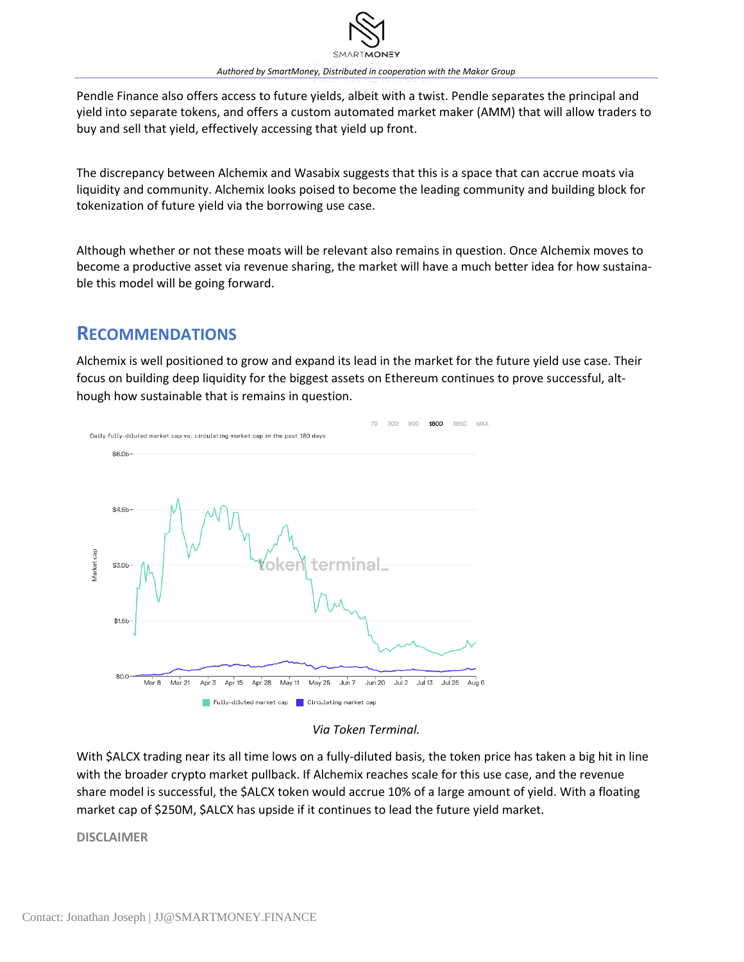

Pendle Finance also offers access to future yields, albeit with a twist. Pendle separates the principal and yield into separate tokens, and offers a custom automated market maker (AMM) that will allow traders to buy and sell that yield, effectively accessing that yield up front.

The discrepancy between Alchemix and Wasabix suggests that this is a space that can accrue moats via liquidity and community. Alchemix looks poised to become the leading community and building block for tokenization of future yield via the borrowing use case.

Although whether or not these moats will be relevant also remains in question. Once Alchemix moves to become a productive asset via revenue sharing, the market will have a much better idea for how sustainable this model will be going forward.

### **RECOMMENDATIONS**

Alchemix is well positioned to grow and expand its lead in the market for the future yield use case. Their focus on building deep liquidity for the biggest assets on Ethereum continues to prove successful, although how sustainable that is remains in question.



*Via Token Terminal.*

With \$ALCX trading near its all time lows on a fully-diluted basis, the token price has taken a big hit in line with the broader crypto market pullback. If Alchemix reaches scale for this use case, and the revenue share model is successful, the \$ALCX token would accrue 10% of a large amount of yield. With a floating market cap of \$250M, \$ALCX has upside if it continues to lead the future yield market.

**DISCLAIMER**